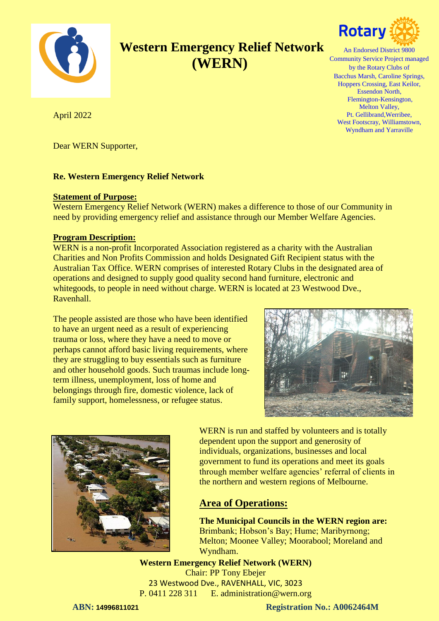

# **Western Emergency Relief Network (WERN)**



An Endorsed District 9800 Community Service Project managed by the Rotary Clubs of Bacchus Marsh, Caroline Springs, Hoppers Crossing, East Keilor, Essendon North, Flemington-Kensington, Melton Valley, Pt. Gellibrand,Werribee, West Footscray, Williamstown, Wyndham and Yarraville

April 2022

Dear WERN Supporter,

#### **Re. Western Emergency Relief Network**

#### **Statement of Purpose:**

Western Emergency Relief Network (WERN) makes a difference to those of our Community in need by providing emergency relief and assistance through our Member Welfare Agencies.

#### **Program Description:**

WERN is a non-profit Incorporated Association registered as a charity with the Australian Charities and Non Profits Commission and holds Designated Gift Recipient status with the Australian Tax Office. WERN comprises of interested Rotary Clubs in the designated area of operations and designed to supply good quality second hand furniture, electronic and whitegoods, to people in need without charge. WERN is located at 23 Westwood Dve., Ravenhall.

The people assisted are those who have been identified to have an urgent need as a result of experiencing trauma or loss, where they have a need to move or perhaps cannot afford basic living requirements, where they are struggling to buy essentials such as furniture and other household goods. Such traumas include longterm illness, unemployment, loss of home and belongings through fire, domestic violence, lack of family support, homelessness, or refugee status.





WERN is run and staffed by volunteers and is totally dependent upon the support and generosity of individuals, organizations, businesses and local government to fund its operations and meet its goals through member welfare agencies' referral of clients in the northern and western regions of Melbourne.

### **Area of Operations:**

**The Municipal Councils in the WERN region are:** Brimbank; Hobson's Bay; Hume; Maribyrnong; Melton; Moonee Valley; Moorabool; Moreland and Wyndham.

**Western Emergency Relief Network (WERN)** Chair: PP Tony Ebejer 23 Westwood Dve., RAVENHALL, VIC, 3023 P. 0411 228 311 E. administration@wern.org

**ABN: 14996811021 Registration No.: A0062464M**